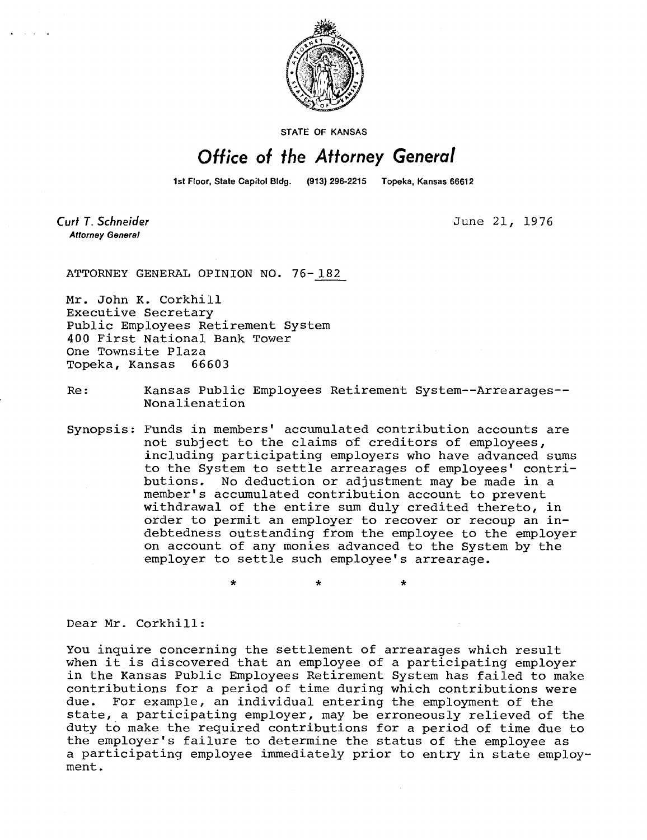

**STATE OF KANSAS** 

## Office of the Attorney General

1st Floor, State Capitol Bldg. (913) 296-2215 Topeka, Kansas 66612

Curt T. Schneider **Attorney General** 

June 21, 1976

ATTORNEY GENERAL OPINION NO. 76-182

Mr. John K. Corkhill Executive Secretary Public Employees Retirement System 400 First National Bank Tower One Townsite Plaza Topeka, Kansas 66603

Re: Kansas Public Employees Retirement System--Arrearages-- Nonalienation

Synopsis: Funds in members' accumulated contribution accounts are not subject to the claims of creditors of employees, including participating employers who have advanced sums to the System to settle arrearages of employees' contributions. No deduction or adjustment may be made in a member's accumulated contribution account to prevent withdrawal of the entire sum duly credited thereto, in order to permit an employer to recover or recoup an indebtedness outstanding from the employee to the employer on account of any monies advanced to the System by the employer to settle such employee's arrearage.

Dear Mr. Corkhill:

You inquire concerning the settlement of arrearages which result when it is discovered that an employee of a participating employer in the Kansas Public Employees Retirement System has failed to make contributions for a period of time during which contributions were due. For example, an individual entering the employment of the state, a participating employer, may be erroneously relieved of the duty to make the required contributions for a period of time due to the employer's failure to determine the status of the employee as a participating employee immediately prior to entry in state employment.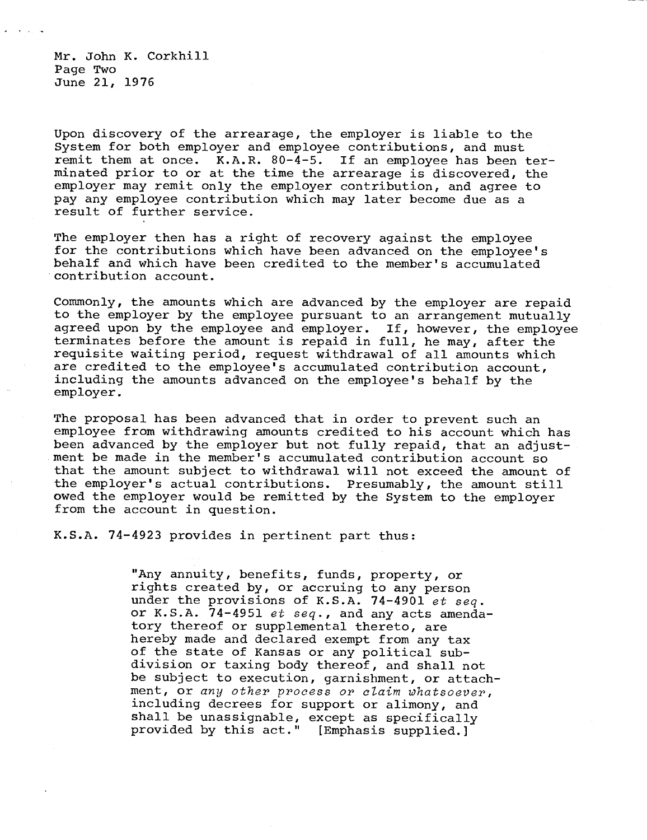Mr. John K. Corkhill Page Two June 21, 1976

Upon discovery of the arrearage, the employer is liable to the System for both employer and employee contributions, and must remit them at once. K.A.R. 80-4-5. If an employee has been terminated prior to or at the time the arrearage is discovered, the employer may remit only the employer contribution, and agree to pay any employee contribution which may later become due as a result of further service.

The employer then has a right of recovery against the employee for the contributions which have been advanced on the employee's behalf and which have been credited to the member's accumulated contribution account.

Commonly, the amounts which are advanced by the employer are repaid to the employer by the employee pursuant to an arrangement mutually agreed upon by the employee and employer. If, however, the employee terminates before the amount is repaid in full, he may, after the requisite waiting period, request withdrawal of all amounts which are credited to the employee's accumulated contribution account, including the amounts advanced on the employee's behalf by the employer.

The proposal has been advanced that in order to prevent such an employee from withdrawing amounts credited to his account which has been advanced by the employer but not fully repaid, that an adjustment be made in the member's accumulated contribution account so that the amount subject to withdrawal will not exceed the amount of the employer's actual contributions. Presumably, the amount still owed the employer would be remitted by the System to the employer from the account in question.

K.S.A. 74-4923 provides in pertinent part thus:

"Any annuity, benefits, funds, property, or rights created by, or accruing to any person under the provisions of K.S.A. 74-4901 et seq. or K.S.A. 74-4951 et seq., and any acts amendatory thereof or supplemental thereto, are hereby made and declared exempt from any tax of the state of Kansas or any political subdivision or taxing body thereof, and shall not be subject to execution, garnishment, or attachment, or any other process or claim whatsoever, including decrees for support or alimony, and shall be unassignable, except as specifically provided by this act." [Emphasis supplied.]